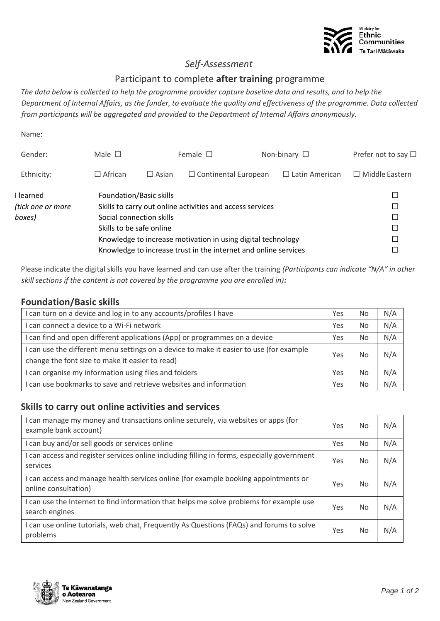

### *Self-Assessment*

#### Participant to complete **after training** programme

*The data below is collected to help the programme provider capture baseline data and results, and to help the Department of Internal Affairs, as the funder, to evaluate the quality and effectiveness of the programme. Data collected from participants will be aggregated and provided to the Department of Internal Affairs anonymously.*

| Name:                                    |                          |                                                     |                                                                                                                                                                                              |  |                       |                                                |  |  |
|------------------------------------------|--------------------------|-----------------------------------------------------|----------------------------------------------------------------------------------------------------------------------------------------------------------------------------------------------|--|-----------------------|------------------------------------------------|--|--|
| Male $\Box$<br>Gender:                   |                          |                                                     | Female $\square$<br>Non-binary $\square$                                                                                                                                                     |  |                       | Prefer not to say $\Box$                       |  |  |
| Ethnicity:                               | $\Box$ African           | $\Box$ Asian                                        | $\Box$ Continental European                                                                                                                                                                  |  | $\Box$ Latin American | $\Box$ Middle Eastern                          |  |  |
| I learned<br>(tick one or more<br>boxes) | Skills to be safe online | Foundation/Basic skills<br>Social connection skills | Skills to carry out online activities and access services<br>Knowledge to increase motivation in using digital technology<br>Knowledge to increase trust in the internet and online services |  |                       | $\Box$<br>□<br>$\Box$<br>$\Box$<br>□<br>$\Box$ |  |  |

Please indicate the digital skills you have learned and can use after the training *(Participants can indicate "N/A" in other skill sections if the content is not covered by the programme you are enrolled in):*

#### **Foundation/Basic skills**

| I can turn on a device and log in to any accounts/profiles I have                       |     | <b>No</b> | N/A |
|-----------------------------------------------------------------------------------------|-----|-----------|-----|
| I can connect a device to a Wi-Fi network                                               |     | No        | N/A |
| I can find and open different applications (App) or programmes on a device              | Yes | <b>No</b> | N/A |
| I can use the different menu settings on a device to make it easier to use (for example |     | No        | N/A |
| change the font size to make it easier to read)                                         |     |           |     |
| I can organise my information using files and folders                                   |     | <b>No</b> | N/A |
| I can use bookmarks to save and retrieve websites and information                       |     | <b>No</b> | N/A |

#### **Skills to carry out online activities and services**

| I can manage my money and transactions online securely, via websites or apps (for<br>example bank account)  |     | <b>No</b>      | N/A |
|-------------------------------------------------------------------------------------------------------------|-----|----------------|-----|
| I can buy and/or sell goods or services online                                                              | Yes | <b>No</b>      | N/A |
| I can access and register services online including filling in forms, especially government<br>services     | Yes | N <sub>0</sub> | N/A |
| I can access and manage health services online (for example booking appointments or<br>online consultation) | Yes | <b>No</b>      | N/A |
| I can use the Internet to find information that helps me solve problems for example use<br>search engines   | Yes | No             | N/A |
| I can use online tutorials, web chat, Frequently As Questions (FAQs) and forums to solve<br>problems        | Yes | No             | N/A |